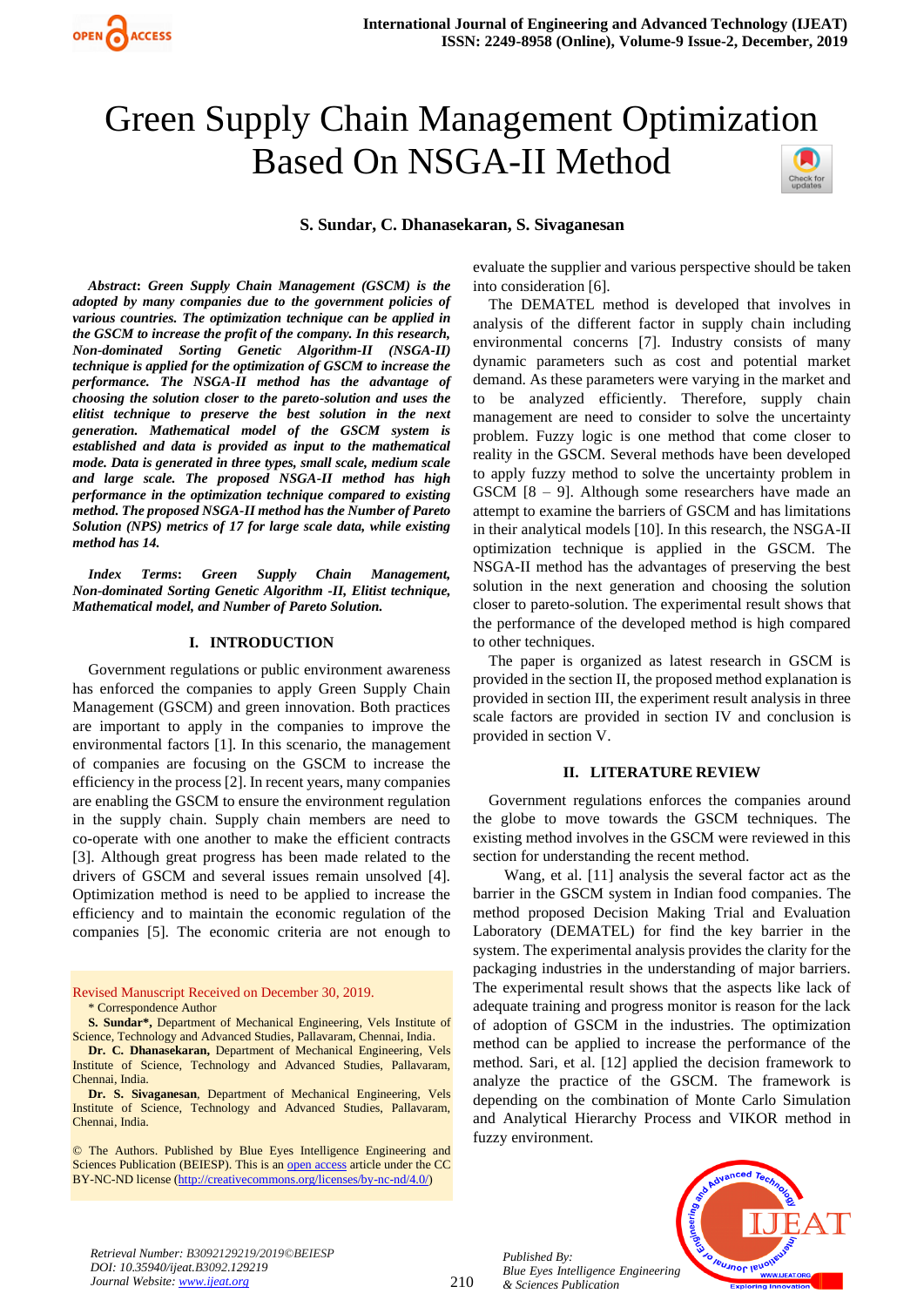# Green Supply Chain Management Optimization Based On NSGA-II Method Check for

**S. Sundar, C. Dhanasekaran, S. Sivaganesan**

*Abstract***:** *Green Supply Chain Management (GSCM) is the adopted by many companies due to the government policies of various countries. The optimization technique can be applied in the GSCM to increase the profit of the company. In this research, Non-dominated Sorting Genetic Algorithm-II (NSGA-II) technique is applied for the optimization of GSCM to increase the performance. The NSGA-II method has the advantage of choosing the solution closer to the pareto-solution and uses the elitist technique to preserve the best solution in the next generation. Mathematical model of the GSCM system is established and data is provided as input to the mathematical mode. Data is generated in three types, small scale, medium scale and large scale. The proposed NSGA-II method has high performance in the optimization technique compared to existing method. The proposed NSGA-II method has the Number of Pareto Solution (NPS) metrics of 17 for large scale data, while existing method has 14.*

*Index Terms***:** *Green Supply Chain Management, Non-dominated Sorting Genetic Algorithm -II, Elitist technique, Mathematical model, and Number of Pareto Solution.*

## **I. INTRODUCTION**

Government regulations or public environment awareness has enforced the companies to apply Green Supply Chain Management (GSCM) and green innovation. Both practices are important to apply in the companies to improve the environmental factors [1]. In this scenario, the management of companies are focusing on the GSCM to increase the efficiency in the process [2]. In recent years, many companies are enabling the GSCM to ensure the environment regulation in the supply chain. Supply chain members are need to co-operate with one another to make the efficient contracts [3]. Although great progress has been made related to the drivers of GSCM and several issues remain unsolved [4]. Optimization method is need to be applied to increase the efficiency and to maintain the economic regulation of the companies [5]. The economic criteria are not enough to

Revised Manuscript Received on December 30, 2019. \* Correspondence Author

**S. Sundar\*,** Department of Mechanical Engineering, Vels Institute of Science, Technology and Advanced Studies, Pallavaram, Chennai, India.

**Dr. C. Dhanasekaran,** Department of Mechanical Engineering, Vels Institute of Science, Technology and Advanced Studies, Pallavaram, Chennai, India.

**Dr. S. Sivaganesan**, Department of Mechanical Engineering, Vels Institute of Science, Technology and Advanced Studies, Pallavaram, Chennai, India.

© The Authors. Published by Blue Eyes Intelligence Engineering and Sciences Publication (BEIESP). This is a[n open access](https://www.openaccess.nl/en/open-publications) article under the CC BY-NC-ND license [\(http://creativecommons.org/licenses/by-nc-nd/4.0/\)](http://creativecommons.org/licenses/by-nc-nd/4.0/)

evaluate the supplier and various perspective should be taken into consideration [6].

The DEMATEL method is developed that involves in analysis of the different factor in supply chain including environmental concerns [7]. Industry consists of many dynamic parameters such as cost and potential market demand. As these parameters were varying in the market and to be analyzed efficiently. Therefore, supply chain management are need to consider to solve the uncertainty problem. Fuzzy logic is one method that come closer to reality in the GSCM. Several methods have been developed to apply fuzzy method to solve the uncertainty problem in GSCM [8 – 9]. Although some researchers have made an attempt to examine the barriers of GSCM and has limitations in their analytical models [10]. In this research, the NSGA-II optimization technique is applied in the GSCM. The NSGA-II method has the advantages of preserving the best solution in the next generation and choosing the solution closer to pareto-solution. The experimental result shows that the performance of the developed method is high compared to other techniques.

The paper is organized as latest research in GSCM is provided in the section II, the proposed method explanation is provided in section III, the experiment result analysis in three scale factors are provided in section IV and conclusion is provided in section V.

## **II. LITERATURE REVIEW**

Government regulations enforces the companies around the globe to move towards the GSCM techniques. The existing method involves in the GSCM were reviewed in this section for understanding the recent method.

Wang, et al. [11] analysis the several factor act as the barrier in the GSCM system in Indian food companies. The method proposed Decision Making Trial and Evaluation Laboratory (DEMATEL) for find the key barrier in the system. The experimental analysis provides the clarity for the packaging industries in the understanding of major barriers. The experimental result shows that the aspects like lack of adequate training and progress monitor is reason for the lack of adoption of GSCM in the industries. The optimization method can be applied to increase the performance of the method. Sari, et al. [12] applied the decision framework to analyze the practice of the GSCM. The framework is depending on the combination of Monte Carlo Simulation and Analytical Hierarchy Process and VIKOR method in fuzzy environment.



*Retrieval Number: B3092129219/2019©BEIESP DOI: 10.35940/ijeat.B3092.129219 Journal Website[: www.ijeat.org](http://www.ijeat.org/)*

*Published By:*

*& Sciences Publication*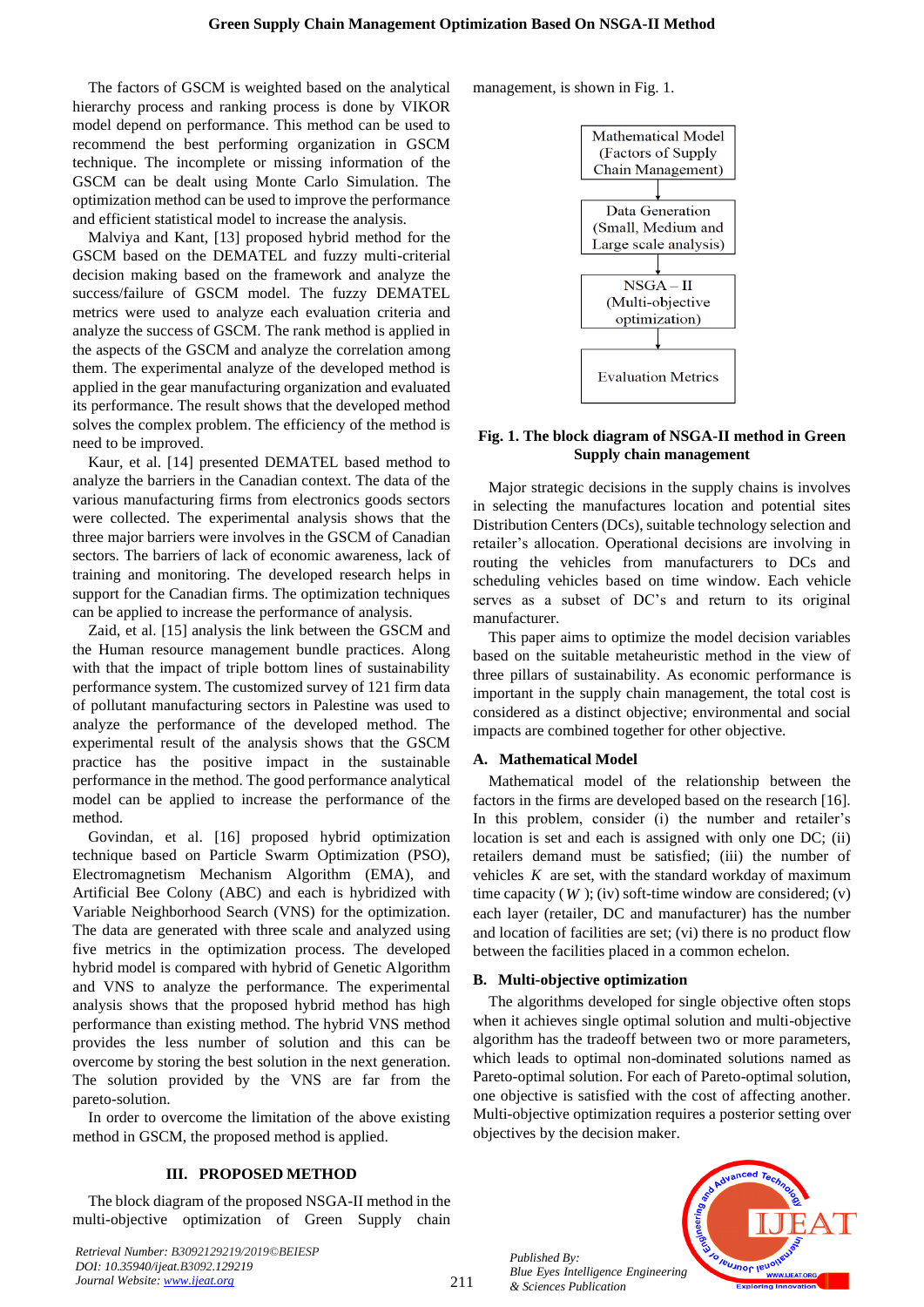The factors of GSCM is weighted based on the analytical hierarchy process and ranking process is done by VIKOR model depend on performance. This method can be used to recommend the best performing organization in GSCM technique. The incomplete or missing information of the GSCM can be dealt using Monte Carlo Simulation. The optimization method can be used to improve the performance and efficient statistical model to increase the analysis.

Malviya and Kant, [13] proposed hybrid method for the GSCM based on the DEMATEL and fuzzy multi-criterial decision making based on the framework and analyze the success/failure of GSCM model. The fuzzy DEMATEL metrics were used to analyze each evaluation criteria and analyze the success of GSCM. The rank method is applied in the aspects of the GSCM and analyze the correlation among them. The experimental analyze of the developed method is applied in the gear manufacturing organization and evaluated its performance. The result shows that the developed method solves the complex problem. The efficiency of the method is need to be improved.

Kaur, et al. [14] presented DEMATEL based method to analyze the barriers in the Canadian context. The data of the various manufacturing firms from electronics goods sectors were collected. The experimental analysis shows that the three major barriers were involves in the GSCM of Canadian sectors. The barriers of lack of economic awareness, lack of training and monitoring. The developed research helps in support for the Canadian firms. The optimization techniques can be applied to increase the performance of analysis.

Zaid, et al. [15] analysis the link between the GSCM and the Human resource management bundle practices. Along with that the impact of triple bottom lines of sustainability performance system. The customized survey of 121 firm data of pollutant manufacturing sectors in Palestine was used to analyze the performance of the developed method. The experimental result of the analysis shows that the GSCM practice has the positive impact in the sustainable performance in the method. The good performance analytical model can be applied to increase the performance of the method.

Govindan, et al. [16] proposed hybrid optimization technique based on Particle Swarm Optimization (PSO), Electromagnetism Mechanism Algorithm (EMA), and Artificial Bee Colony (ABC) and each is hybridized with Variable Neighborhood Search (VNS) for the optimization. The data are generated with three scale and analyzed using five metrics in the optimization process. The developed hybrid model is compared with hybrid of Genetic Algorithm and VNS to analyze the performance. The experimental analysis shows that the proposed hybrid method has high performance than existing method. The hybrid VNS method provides the less number of solution and this can be overcome by storing the best solution in the next generation. The solution provided by the VNS are far from the pareto-solution.

In order to overcome the limitation of the above existing method in GSCM, the proposed method is applied.

# **III. PROPOSED METHOD**

The block diagram of the proposed NSGA-II method in the multi-objective optimization of Green Supply chain

*Retrieval Number: B3092129219/2019©BEIESP DOI: 10.35940/ijeat.B3092.129219 Journal Website[: www.ijeat.org](http://www.ijeat.org/)*

management, is shown in Fig. 1.



# **Fig. 1. The block diagram of NSGA-II method in Green Supply chain management**

Major strategic decisions in the supply chains is involves in selecting the manufactures location and potential sites Distribution Centers (DCs), suitable technology selection and retailer's allocation. Operational decisions are involving in routing the vehicles from manufacturers to DCs and scheduling vehicles based on time window. Each vehicle serves as a subset of DC's and return to its original manufacturer.

This paper aims to optimize the model decision variables based on the suitable metaheuristic method in the view of three pillars of sustainability. As economic performance is important in the supply chain management, the total cost is considered as a distinct objective; environmental and social impacts are combined together for other objective.

# **A. Mathematical Model**

Mathematical model of the relationship between the factors in the firms are developed based on the research [16]. In this problem, consider (i) the number and retailer's location is set and each is assigned with only one DC; (ii) retailers demand must be satisfied; (iii) the number of vehicles  $K$  are set, with the standard workday of maximum time capacity  $(W)$ ; (iv) soft-time window are considered;  $(v)$ each layer (retailer, DC and manufacturer) has the number and location of facilities are set; (vi) there is no product flow between the facilities placed in a common echelon.

## **B. Multi-objective optimization**

The algorithms developed for single objective often stops when it achieves single optimal solution and multi-objective algorithm has the tradeoff between two or more parameters, which leads to optimal non-dominated solutions named as Pareto-optimal solution. For each of Pareto-optimal solution, one objective is satisfied with the cost of affecting another. Multi-objective optimization requires a posterior setting over objectives by the decision maker.



*Published By: Blue Eyes Intelligence Engineering & Sciences Publication*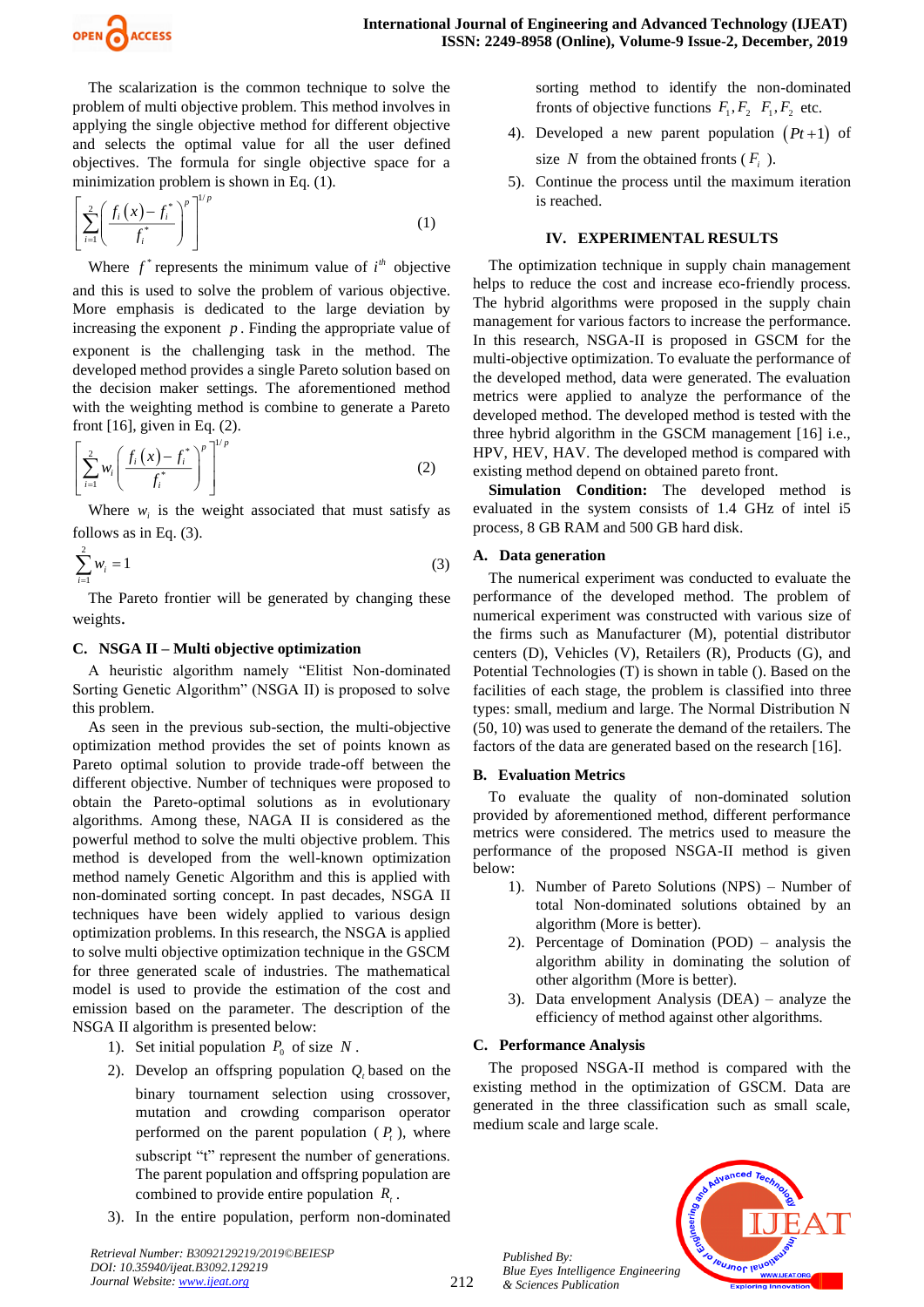

The scalarization is the common technique to solve the problem of multi objective problem. This method involves in applying the single objective method for different objective and selects the optimal value for all the user defined objectives. The formula for single objective space for a minimization problem is shown in Eq. (1).

$$
\left[\sum_{i=1}^{2} \left(\frac{f_i(x) - f_i^*}{f_i^*}\right)^p\right]^{1/p} \tag{1}
$$

Where  $f^*$  represents the minimum value of  $i^h$  objective and this is used to solve the problem of various objective. More emphasis is dedicated to the large deviation by increasing the exponent  $p$ . Finding the appropriate value of exponent is the challenging task in the method. The developed method provides a single Pareto solution based on the decision maker settings. The aforementioned method with the weighting method is combine to generate a Pareto front  $[16]$ , given in Eq.  $(2)$ .

$$
\left[\sum_{i=1}^{2} w_i \left(\frac{f_i(x) - f_i^*}{f_i^*}\right)^p\right]^{1/p} \tag{2}
$$

Where  $w_i$  is the weight associated that must satisfy as follows as in Eq. (3).

$$
\sum_{i=1}^{2} w_i = 1
$$
 (3)

The Pareto frontier will be generated by changing these weights.

# **C. NSGA II – Multi objective optimization**

A heuristic algorithm namely "Elitist Non-dominated Sorting Genetic Algorithm" (NSGA II) is proposed to solve this problem.

As seen in the previous sub-section, the multi-objective optimization method provides the set of points known as Pareto optimal solution to provide trade-off between the different objective. Number of techniques were proposed to obtain the Pareto-optimal solutions as in evolutionary algorithms. Among these, NAGA II is considered as the powerful method to solve the multi objective problem. This method is developed from the well-known optimization method namely Genetic Algorithm and this is applied with non-dominated sorting concept. In past decades, NSGA II techniques have been widely applied to various design optimization problems. In this research, the NSGA is applied to solve multi objective optimization technique in the GSCM for three generated scale of industries. The mathematical model is used to provide the estimation of the cost and emission based on the parameter. The description of the NSGA II algorithm is presented below:

- 1). Set initial population  $P_0$  of size N.
- 2). Develop an offspring population  $Q_t$  based on the binary tournament selection using crossover, mutation and crowding comparison operator performed on the parent population  $(P_t)$ , where subscript "t" represent the number of generations. The parent population and offspring population are combined to provide entire population  $R<sub>t</sub>$ .
- 3). In the entire population, perform non-dominated

sorting method to identify the non-dominated fronts of objective functions  $F_1, F_2, F_1, F_2$  etc.

- 4). Developed a new parent population  $(Pt+1)$  of size N from the obtained fronts  $(F_i)$ .
- 5). Continue the process until the maximum iteration is reached.

# **IV. EXPERIMENTAL RESULTS**

The optimization technique in supply chain management helps to reduce the cost and increase eco-friendly process. The hybrid algorithms were proposed in the supply chain management for various factors to increase the performance. In this research, NSGA-II is proposed in GSCM for the multi-objective optimization. To evaluate the performance of the developed method, data were generated. The evaluation metrics were applied to analyze the performance of the developed method. The developed method is tested with the three hybrid algorithm in the GSCM management [16] i.e., HPV, HEV, HAV. The developed method is compared with existing method depend on obtained pareto front.

**Simulation Condition:** The developed method is evaluated in the system consists of 1.4 GHz of intel i5 process, 8 GB RAM and 500 GB hard disk.

# **A. Data generation**

The numerical experiment was conducted to evaluate the performance of the developed method. The problem of numerical experiment was constructed with various size of the firms such as Manufacturer (M), potential distributor centers (D), Vehicles (V), Retailers (R), Products (G), and Potential Technologies (T) is shown in table (). Based on the facilities of each stage, the problem is classified into three types: small, medium and large. The Normal Distribution N (50, 10) was used to generate the demand of the retailers. The factors of the data are generated based on the research [16].

# **B. Evaluation Metrics**

To evaluate the quality of non-dominated solution provided by aforementioned method, different performance metrics were considered. The metrics used to measure the performance of the proposed NSGA-II method is given below:

- 1). Number of Pareto Solutions (NPS) Number of total Non-dominated solutions obtained by an algorithm (More is better).
- 2). Percentage of Domination (POD) analysis the algorithm ability in dominating the solution of other algorithm (More is better).
- 3). Data envelopment Analysis (DEA) analyze the efficiency of method against other algorithms.

# **C. Performance Analysis**

The proposed NSGA-II method is compared with the existing method in the optimization of GSCM. Data are generated in the three classification such as small scale, medium scale and large scale.



*Published By: Blue Eyes Intelligence Engineering & Sciences Publication* 

212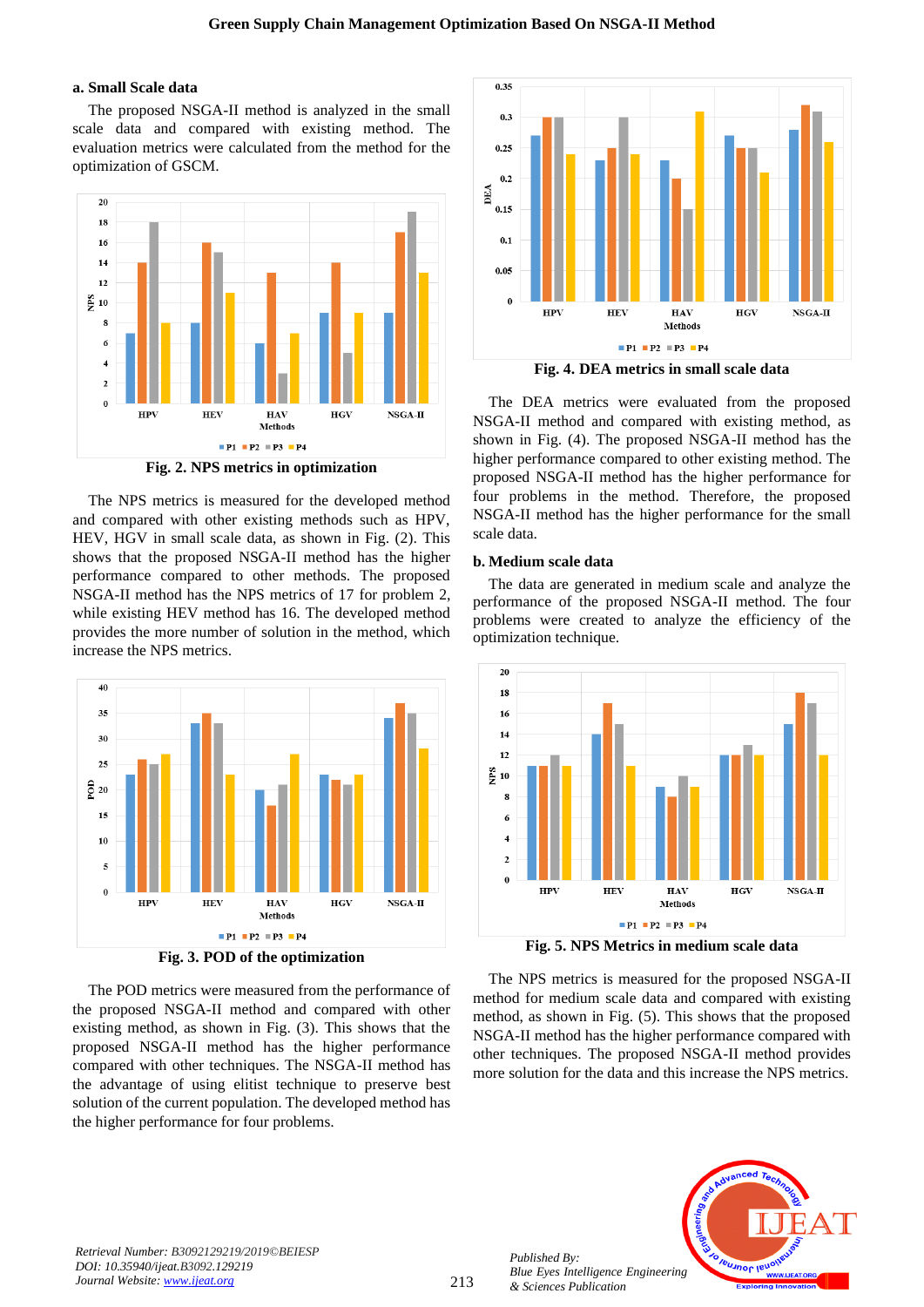# **a. Small Scale data**

The proposed NSGA-II method is analyzed in the small scale data and compared with existing method. The evaluation metrics were calculated from the method for the optimization of GSCM.



**Fig. 2. NPS metrics in optimization**

The NPS metrics is measured for the developed method and compared with other existing methods such as HPV, HEV, HGV in small scale data, as shown in Fig. (2). This shows that the proposed NSGA-II method has the higher performance compared to other methods. The proposed NSGA-II method has the NPS metrics of 17 for problem 2, while existing HEV method has 16. The developed method provides the more number of solution in the method, which increase the NPS metrics.



**Fig. 3. POD of the optimization**

The POD metrics were measured from the performance of the proposed NSGA-II method and compared with other existing method, as shown in Fig. (3). This shows that the proposed NSGA-II method has the higher performance compared with other techniques. The NSGA-II method has the advantage of using elitist technique to preserve best solution of the current population. The developed method has the higher performance for four problems.



**Fig. 4. DEA metrics in small scale data**

The DEA metrics were evaluated from the proposed NSGA-II method and compared with existing method, as shown in Fig. (4). The proposed NSGA-II method has the higher performance compared to other existing method. The proposed NSGA-II method has the higher performance for four problems in the method. Therefore, the proposed NSGA-II method has the higher performance for the small scale data.

## **b. Medium scale data**

The data are generated in medium scale and analyze the performance of the proposed NSGA-II method. The four problems were created to analyze the efficiency of the optimization technique.



**Fig. 5. NPS Metrics in medium scale data**

The NPS metrics is measured for the proposed NSGA-II method for medium scale data and compared with existing method, as shown in Fig. (5). This shows that the proposed NSGA-II method has the higher performance compared with other techniques. The proposed NSGA-II method provides more solution for the data and this increase the NPS metrics.



*Published By:*

*& Sciences Publication*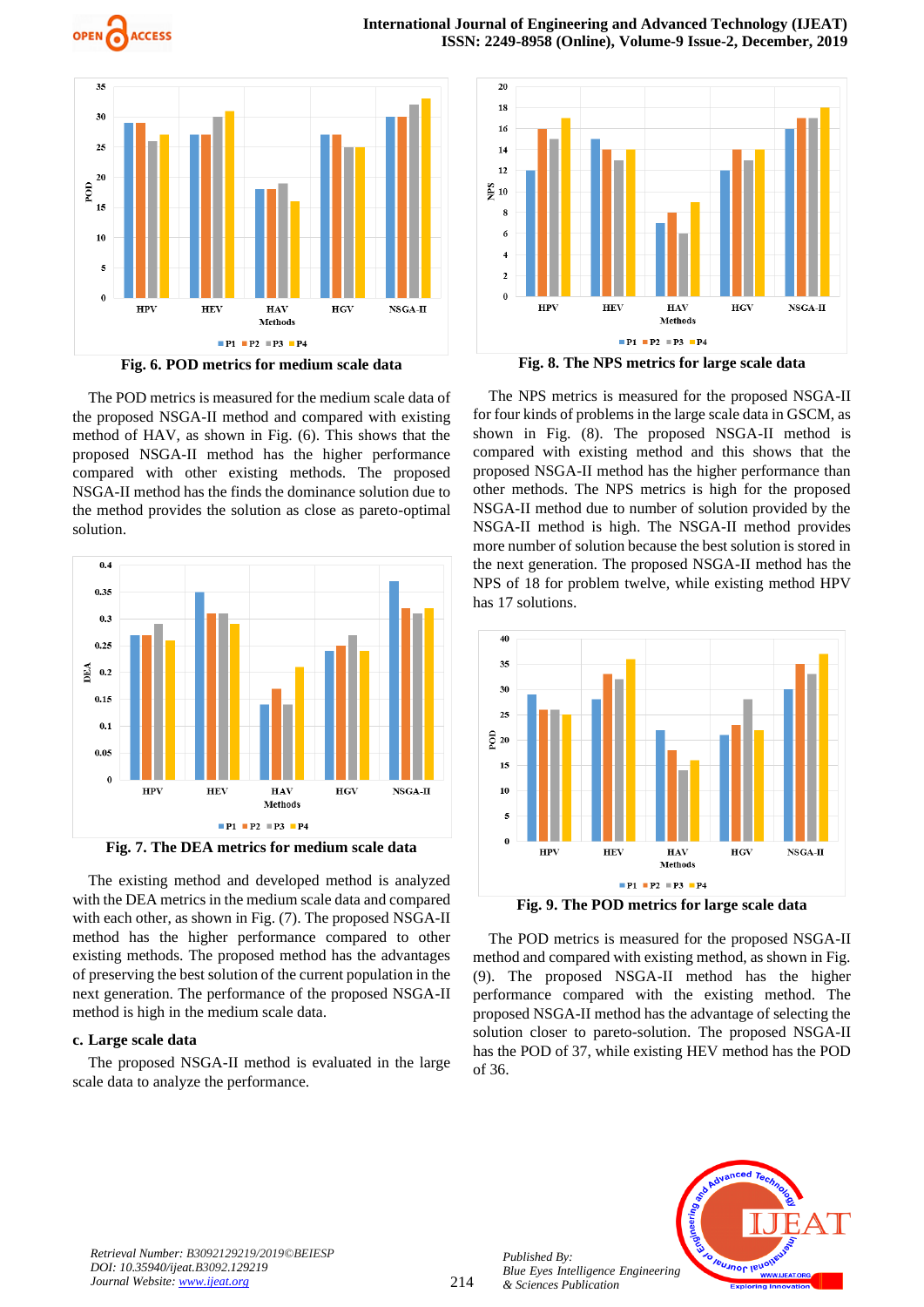



**Fig. 6. POD metrics for medium scale data**

The POD metrics is measured for the medium scale data of the proposed NSGA-II method and compared with existing method of HAV, as shown in Fig. (6). This shows that the proposed NSGA-II method has the higher performance compared with other existing methods. The proposed NSGA-II method has the finds the dominance solution due to the method provides the solution as close as pareto-optimal solution.



**Fig. 7. The DEA metrics for medium scale data**

The existing method and developed method is analyzed with the DEA metrics in the medium scale data and compared with each other, as shown in Fig. (7). The proposed NSGA-II method has the higher performance compared to other existing methods. The proposed method has the advantages of preserving the best solution of the current population in the next generation. The performance of the proposed NSGA-II method is high in the medium scale data.

#### **c. Large scale data**

The proposed NSGA-II method is evaluated in the large scale data to analyze the performance.



**Fig. 8. The NPS metrics for large scale data**

The NPS metrics is measured for the proposed NSGA-II for four kinds of problems in the large scale data in GSCM, as shown in Fig. (8). The proposed NSGA-II method is compared with existing method and this shows that the proposed NSGA-II method has the higher performance than other methods. The NPS metrics is high for the proposed NSGA-II method due to number of solution provided by the NSGA-II method is high. The NSGA-II method provides more number of solution because the best solution is stored in the next generation. The proposed NSGA-II method has the NPS of 18 for problem twelve, while existing method HPV has 17 solutions.



**Fig. 9. The POD metrics for large scale data**

The POD metrics is measured for the proposed NSGA-II method and compared with existing method, as shown in Fig. (9). The proposed NSGA-II method has the higher performance compared with the existing method. The proposed NSGA-II method has the advantage of selecting the solution closer to pareto-solution. The proposed NSGA-II has the POD of 37, while existing HEV method has the POD of 36.



*Retrieval Number: B3092129219/2019©BEIESP DOI: 10.35940/ijeat.B3092.129219 Journal Website[: www.ijeat.org](http://www.ijeat.org/)*

*Published By:*

*& Sciences Publication*